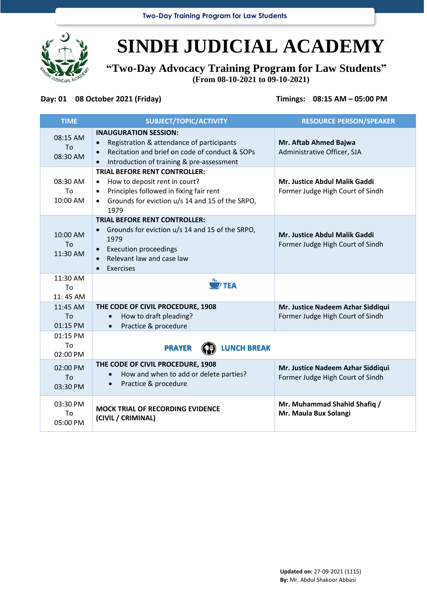

## **SINDH JUDICIAL ACADEMY**

**"Two-Day Advocacy Training Program for Law Students" (From 08-10-2021 to 09-10-2021)**

## **Day: 01 08 October 2021 (Friday) Timings: 08:15 AM – 05:00 PM**

| <b>TIME</b>                        | SUBJECT/TOPIC/ACTIVITY                                                                                                                                                                                                        | <b>RESOURCE PERSON/SPEAKER</b>                                        |
|------------------------------------|-------------------------------------------------------------------------------------------------------------------------------------------------------------------------------------------------------------------------------|-----------------------------------------------------------------------|
| 08:15 AM<br>To<br>08:30 AM         | <b>INAUGURATION SESSION:</b><br>Registration & attendance of participants<br>$\bullet$<br>Recitation and brief on code of conduct & SOPs<br>$\bullet$<br>Introduction of training & pre-assessment                            | Mr. Aftab Ahmed Bajwa<br>Administrative Officer, SJA                  |
| 08:30 AM<br>To<br>10:00 AM         | <b>TRIAL BEFORE RENT CONTROLLER:</b><br>How to deposit rent in court?<br>$\bullet$<br>Principles followed in fixing fair rent<br>$\bullet$<br>Grounds for eviction u/s 14 and 15 of the SRPO,<br>$\bullet$<br>1979            | Mr. Justice Abdul Malik Gaddi<br>Former Judge High Court of Sindh     |
| 10:00 AM<br>To<br>11:30 AM         | <b>TRIAL BEFORE RENT CONTROLLER:</b><br>Grounds for eviction u/s 14 and 15 of the SRPO,<br>$\bullet$<br>1979<br><b>Execution proceedings</b><br>$\bullet$<br>Relevant law and case law<br>$\bullet$<br>Exercises<br>$\bullet$ | Mr. Justice Abdul Malik Gaddi<br>Former Judge High Court of Sindh     |
| 11:30 AM<br>To<br>11:45 AM         | $\overset{\mathcal{N}_s}{\longrightarrow}$ TEA                                                                                                                                                                                |                                                                       |
| 11:45 AM<br>To<br>01:15 PM         | THE CODE OF CIVIL PROCEDURE, 1908<br>How to draft pleading?<br>Practice & procedure<br>$\bullet$                                                                                                                              | Mr. Justice Nadeem Azhar Siddiqui<br>Former Judge High Court of Sindh |
| 01:15 PM<br><b>Τ</b> ο<br>02:00 PM | <b>LUNCH BREAK</b><br><b>PRAYER</b>                                                                                                                                                                                           |                                                                       |
| 02:00 PM<br>To<br>03:30 PM         | THE CODE OF CIVIL PROCEDURE, 1908<br>How and when to add or delete parties?<br>$\bullet$<br>Practice & procedure<br>$\bullet$                                                                                                 | Mr. Justice Nadeem Azhar Siddiqui<br>Former Judge High Court of Sindh |
| 03:30 PM<br>To<br>05:00 PM         | <b>MOCK TRIAL OF RECORDING EVIDENCE</b><br>(CIVIL / CRIMINAL)                                                                                                                                                                 | Mr. Muhammad Shahid Shafiq /<br>Mr. Maula Bux Solangi                 |